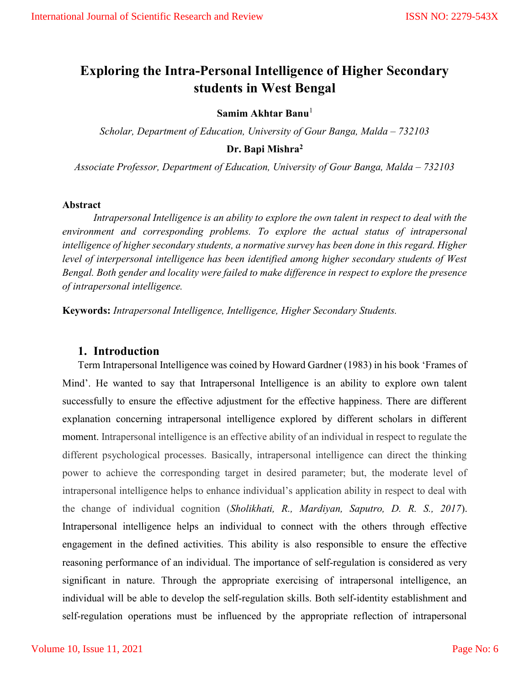# Exploring the Intra-Personal Intelligence of Higher Secondary students in West Bengal

#### Samim Akhtar Banu<sup>1</sup>

Scholar, Department of Education, University of Gour Banga, Malda – 732103

#### Dr. Bapi Mishra<sup>2</sup>

Associate Professor, Department of Education, University of Gour Banga, Malda – 732103

#### Abstract

Intrapersonal Intelligence is an ability to explore the own talent in respect to deal with the environment and corresponding problems. To explore the actual status of intrapersonal intelligence of higher secondary students, a normative survey has been done in this regard. Higher level of interpersonal intelligence has been identified among higher secondary students of West Bengal. Both gender and locality were failed to make difference in respect to explore the presence of intrapersonal intelligence.

Keywords: Intrapersonal Intelligence, Intelligence, Higher Secondary Students.

#### 1. Introduction

Term Intrapersonal Intelligence was coined by Howard Gardner (1983) in his book 'Frames of Mind'. He wanted to say that Intrapersonal Intelligence is an ability to explore own talent successfully to ensure the effective adjustment for the effective happiness. There are different explanation concerning intrapersonal intelligence explored by different scholars in different moment. Intrapersonal intelligence is an effective ability of an individual in respect to regulate the different psychological processes. Basically, intrapersonal intelligence can direct the thinking power to achieve the corresponding target in desired parameter; but, the moderate level of intrapersonal intelligence helps to enhance individual's application ability in respect to deal with the change of individual cognition (Sholikhati, R., Mardiyan, Saputro, D. R. S., 2017). Intrapersonal intelligence helps an individual to connect with the others through effective engagement in the defined activities. This ability is also responsible to ensure the effective reasoning performance of an individual. The importance of self-regulation is considered as very significant in nature. Through the appropriate exercising of intrapersonal intelligence, an individual will be able to develop the self-regulation skills. Both self-identity establishment and self-regulation operations must be influenced by the appropriate reflection of intrapersonal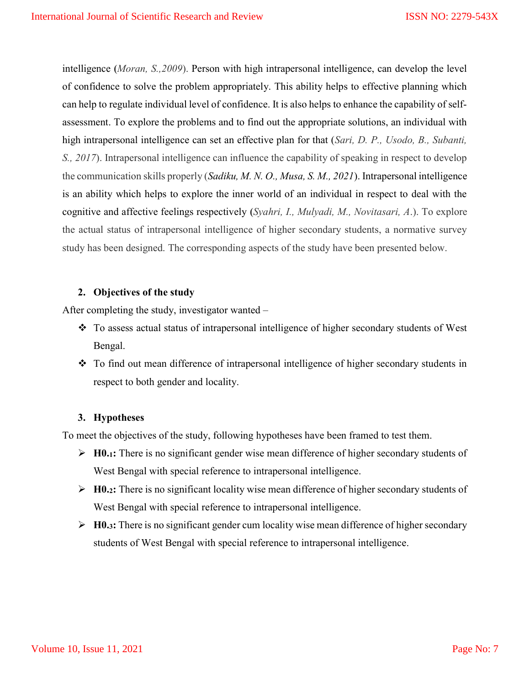intelligence (Moran, S.,2009). Person with high intrapersonal intelligence, can develop the level of confidence to solve the problem appropriately. This ability helps to effective planning which can help to regulate individual level of confidence. It is also helps to enhance the capability of selfassessment. To explore the problems and to find out the appropriate solutions, an individual with high intrapersonal intelligence can set an effective plan for that (Sari, D. P., Usodo, B., Subanti, S., 2017). Intrapersonal intelligence can influence the capability of speaking in respect to develop the communication skills properly (Sadiku, M. N. O., Musa, S. M., 2021). Intrapersonal intelligence is an ability which helps to explore the inner world of an individual in respect to deal with the cognitive and affective feelings respectively (Syahri, I., Mulyadi, M., Novitasari, A.). To explore the actual status of intrapersonal intelligence of higher secondary students, a normative survey study has been designed. The corresponding aspects of the study have been presented below.

#### 2. Objectives of the study

After completing the study, investigator wanted –

- To assess actual status of intrapersonal intelligence of higher secondary students of West Bengal.
- To find out mean difference of intrapersonal intelligence of higher secondary students in respect to both gender and locality.

#### 3. Hypotheses

To meet the objectives of the study, following hypotheses have been framed to test them.

- $\triangleright$  H0.1: There is no significant gender wise mean difference of higher secondary students of West Bengal with special reference to intrapersonal intelligence.
- $\triangleright$  H0.2: There is no significant locality wise mean difference of higher secondary students of West Bengal with special reference to intrapersonal intelligence.
- $\triangleright$  H0.3: There is no significant gender cum locality wise mean difference of higher secondary students of West Bengal with special reference to intrapersonal intelligence.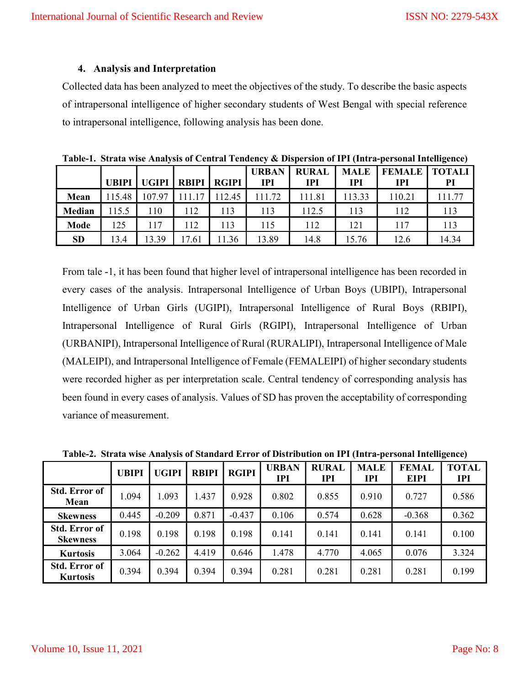#### 4. Analysis and Interpretation

Collected data has been analyzed to meet the objectives of the study. To describe the basic aspects of intrapersonal intelligence of higher secondary students of West Bengal with special reference to intrapersonal intelligence, following analysis has been done.

|           | <b>UBIPI</b> | <b>UGIPI</b> | <b>RBIPI</b> | <b>RGIPI</b> | <b>URBAN</b><br>IPI | <b>RURAL</b><br>IPI | <b>MALE</b><br>IPI | <b>FEMALE   TOTALI</b><br><b>IPI</b> | PI     |
|-----------|--------------|--------------|--------------|--------------|---------------------|---------------------|--------------------|--------------------------------------|--------|
| Mean      | 15.48        | 107.97       |              | 12.45        | 111.72              | 111.81              | 113.33             | 110.21                               | 111.77 |
| Median    | 115.5        | 10           | 112          | 113          | 113                 | 112.5               | 113                | 112                                  | 113    |
| Mode      | 125          | 117          | 112          | 113          | 115                 | 112                 | 121                | 117                                  | 113    |
| <b>SD</b> | 13.4         | 13.39        | 17.61        | 11.36        | 13.89               | 14.8                | 15.76              | 12.6                                 | 14.34  |

Table-1. Strata wise Analysis of Central Tendency & Dispersion of IPI (Intra-personal Intelligence)

From tale -1, it has been found that higher level of intrapersonal intelligence has been recorded in every cases of the analysis. Intrapersonal Intelligence of Urban Boys (UBIPI), Intrapersonal Intelligence of Urban Girls (UGIPI), Intrapersonal Intelligence of Rural Boys (RBIPI), Intrapersonal Intelligence of Rural Girls (RGIPI), Intrapersonal Intelligence of Urban (URBANIPI), Intrapersonal Intelligence of Rural (RURALIPI), Intrapersonal Intelligence of Male (MALEIPI), and Intrapersonal Intelligence of Female (FEMALEIPI) of higher secondary students were recorded higher as per interpretation scale. Central tendency of corresponding analysis has been found in every cases of analysis. Values of SD has proven the acceptability of corresponding variance of measurement.

|                                         | <b>UBIPI</b> | <b>UGIPI</b> | <b>RBIPI</b> | <b>RGIPI</b> | <b>URBAN</b><br>IPI | <b>RURAL</b><br><b>IPI</b> | <b>MALE</b><br>IPI | <b>FEMAL</b><br><b>EIPI</b> | <b>TOTAL</b><br>IPI |
|-----------------------------------------|--------------|--------------|--------------|--------------|---------------------|----------------------------|--------------------|-----------------------------|---------------------|
| <b>Std. Error of</b><br>Mean            | 1.094        | 1.093        | 1.437        | 0.928        | 0.802               | 0.855                      | 0.910              | 0.727                       | 0.586               |
| <b>Skewness</b>                         | 0.445        | $-0.209$     | 0.871        | $-0.437$     | 0.106               | 0.574                      | 0.628              | $-0.368$                    | 0.362               |
| <b>Std. Error of</b><br><b>Skewness</b> | 0.198        | 0.198        | 0.198        | 0.198        | 0.141               | 0.141                      | 0.141              | 0.141                       | 0.100               |
| <b>Kurtosis</b>                         | 3.064        | $-0.262$     | 4.419        | 0.646        | 1.478               | 4.770                      | 4.065              | 0.076                       | 3.324               |
| <b>Std. Error of</b><br><b>Kurtosis</b> | 0.394        | 0.394        | 0.394        | 0.394        | 0.281               | 0.281                      | 0.281              | 0.281                       | 0.199               |

Table-2. Strata wise Analysis of Standard Error of Distribution on IPI (Intra-personal Intelligence)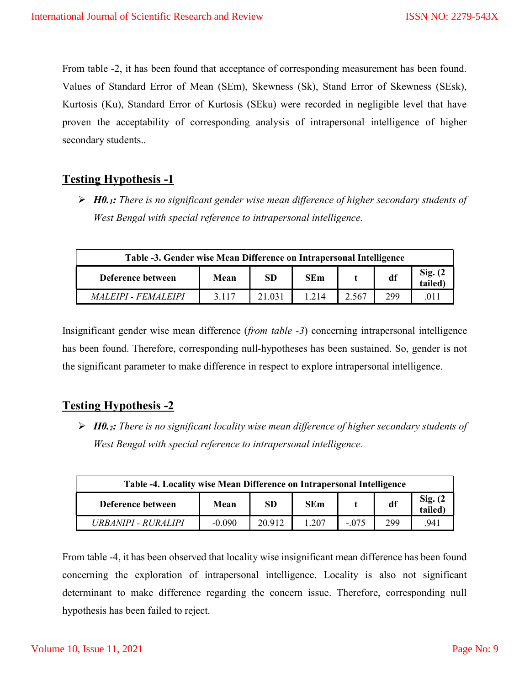From table -2, it has been found that acceptance of corresponding measurement has been found. Values of Standard Error of Mean (SEm), Skewness (Sk), Stand Error of Skewness (SEsk), Kurtosis (Ku), Standard Error of Kurtosis (SEku) were recorded in negligible level that have proven the acceptability of corresponding analysis of intrapersonal intelligence of higher secondary students..

### Testing Hypothesis -1

 $\triangleright$  H0.1: There is no significant gender wise mean difference of higher secondary students of West Bengal with special reference to intrapersonal intelligence.

| Table -3. Gender wise Mean Difference on Intrapersonal Intelligence |       |        |            |       |     |                    |  |  |  |
|---------------------------------------------------------------------|-------|--------|------------|-------|-----|--------------------|--|--|--|
| Deference between                                                   | Mean  | SD     | <b>SEm</b> |       | df  | Sig. (2<br>tailed) |  |  |  |
| <i>MALEIPI - FEMALEIPI</i>                                          | 3.117 | 21.031 | 1.214      | 2.567 | 299 | .01                |  |  |  |

Insignificant gender wise mean difference (from table -3) concerning intrapersonal intelligence has been found. Therefore, corresponding null-hypotheses has been sustained. So, gender is not the significant parameter to make difference in respect to explore intrapersonal intelligence.

# Testing Hypothesis -2

 $\triangleright$  H0.2: There is no significant locality wise mean difference of higher secondary students of West Bengal with special reference to intrapersonal intelligence.

| Table -4. Locality wise Mean Difference on Intrapersonal Intelligence |          |           |            |         |     |                     |  |  |  |
|-----------------------------------------------------------------------|----------|-----------|------------|---------|-----|---------------------|--|--|--|
| Deference between                                                     | Mean     | <b>SD</b> | <b>SEm</b> |         | df  | Sig. (2)<br>tailed) |  |  |  |
| URBANIPI - RURALIPI                                                   | $-0.090$ | 20.912    | 1.207      | $-.075$ | 299 | .941                |  |  |  |

From table -4, it has been observed that locality wise insignificant mean difference has been found concerning the exploration of intrapersonal intelligence. Locality is also not significant determinant to make difference regarding the concern issue. Therefore, corresponding null hypothesis has been failed to reject.